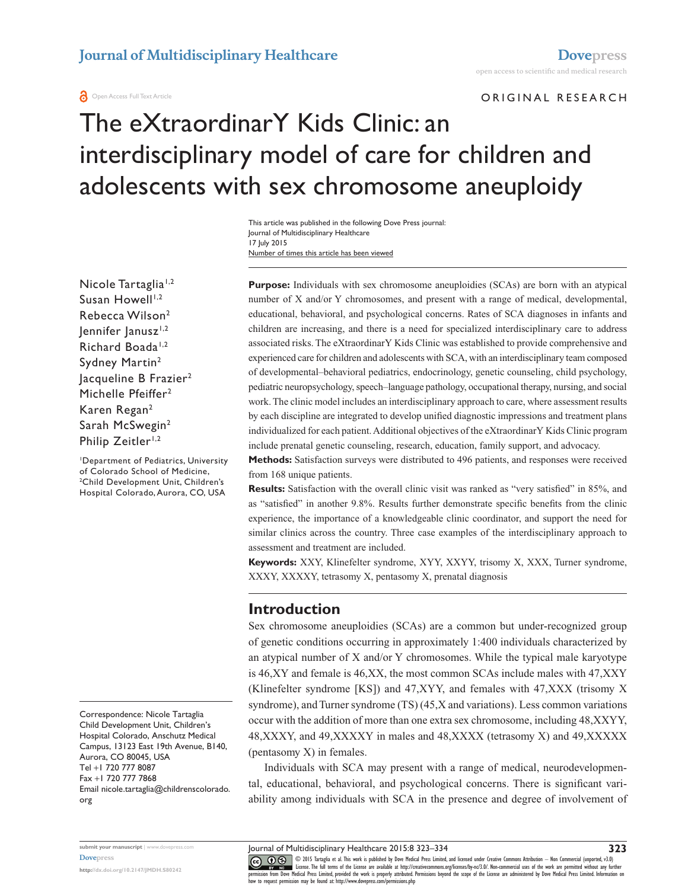#### **a** Open Access Full Text Article

ORIGINAL RESEARCH

# The eXtraordinarY Kids Clinic: an interdisciplinary model of care for children and adolescents with sex chromosome aneuploidy

Number of times this article has been viewed This article was published in the following Dove Press journal: Journal of Multidisciplinary Healthcare 17 July 2015

Nicole Tartaglia<sup>1,2</sup> Susan Howell $1,2$ Rebecca Wilson2 lennifer lanusz<sup>1,2</sup> Richard Boada<sup>1,2</sup> Sydney Martin2 lacqueline B Frazier<sup>2</sup> Michelle Pfeiffer<sup>2</sup> Karen Regan2 Sarah McSwegin2 Philip Zeitler<sup>1,2</sup>

1 Department of Pediatrics, University of Colorado School of Medicine, 2 Child Development Unit, Children's Hospital Colorado, Aurora, CO, USA

Correspondence: Nicole Tartaglia Child Development Unit, Children's Hospital Colorado, Anschutz Medical Campus, 13123 East 19th Avenue, B140, Aurora, CO 80045, USA Tel +1 720 777 8087 Fax +1 720 777 7868 Email [nicole.tartaglia@childrenscolorado.](mailto:nicole.tartaglia@childrenscolorado.org) [org](mailto:nicole.tartaglia@childrenscolorado.org)

**<http://dx.doi.org/10.2147/JMDH.S80242>**

**Purpose:** Individuals with sex chromosome aneuploidies (SCAs) are born with an atypical number of X and/or Y chromosomes, and present with a range of medical, developmental, educational, behavioral, and psychological concerns. Rates of SCA diagnoses in infants and children are increasing, and there is a need for specialized interdisciplinary care to address associated risks. The eXtraordinarY Kids Clinic was established to provide comprehensive and experienced care for children and adolescents with SCA, with an interdisciplinary team composed of developmental–behavioral pediatrics, endocrinology, genetic counseling, child psychology, pediatric neuropsychology, speech–language pathology, occupational therapy, nursing, and social work. The clinic model includes an interdisciplinary approach to care, where assessment results by each discipline are integrated to develop unified diagnostic impressions and treatment plans individualized for each patient. Additional objectives of the eXtraordinarY Kids Clinic program include prenatal genetic counseling, research, education, family support, and advocacy.

**Methods:** Satisfaction surveys were distributed to 496 patients, and responses were received from 168 unique patients.

**Results:** Satisfaction with the overall clinic visit was ranked as "very satisfied" in 85%, and as "satisfied" in another 9.8%. Results further demonstrate specific benefits from the clinic experience, the importance of a knowledgeable clinic coordinator, and support the need for similar clinics across the country. Three case examples of the interdisciplinary approach to assessment and treatment are included.

**Keywords:** XXY, Klinefelter syndrome, XYY, XXYY, trisomy X, XXX, Turner syndrome, XXXY, XXXXY, tetrasomy X, pentasomy X, prenatal diagnosis

### **Introduction**

Sex chromosome aneuploidies (SCAs) are a common but under-recognized group of genetic conditions occurring in approximately 1:400 individuals characterized by an atypical number of X and/or Y chromosomes. While the typical male karyotype is 46,XY and female is 46,XX, the most common SCAs include males with 47,XXY (Klinefelter syndrome [KS]) and 47,XYY, and females with 47,XXX (trisomy X syndrome), and Turner syndrome (TS) (45,X and variations). Less common variations occur with the addition of more than one extra sex chromosome, including 48,XXYY, 48,XXXY, and 49,XXXXY in males and 48,XXXX (tetrasomy X) and 49,XXXXX (pentasomy X) in females.

Individuals with SCA may present with a range of medical, neurodevelopmental, educational, behavioral, and psychological concerns. There is significant variability among individuals with SCA in the presence and degree of involvement of

CO ODIS Tartaglia et al. This work is published by Dove Medical Press Limited, and licensed under Creative Commons Attribution - Non Commercial (unported, v3.0)<br> [permission from Dove M](http://www.dovepress.com/permissions.php)edical Press Limited, provided the wor how to request permission may be found at:<http://www.dovepress.com/permissions.php>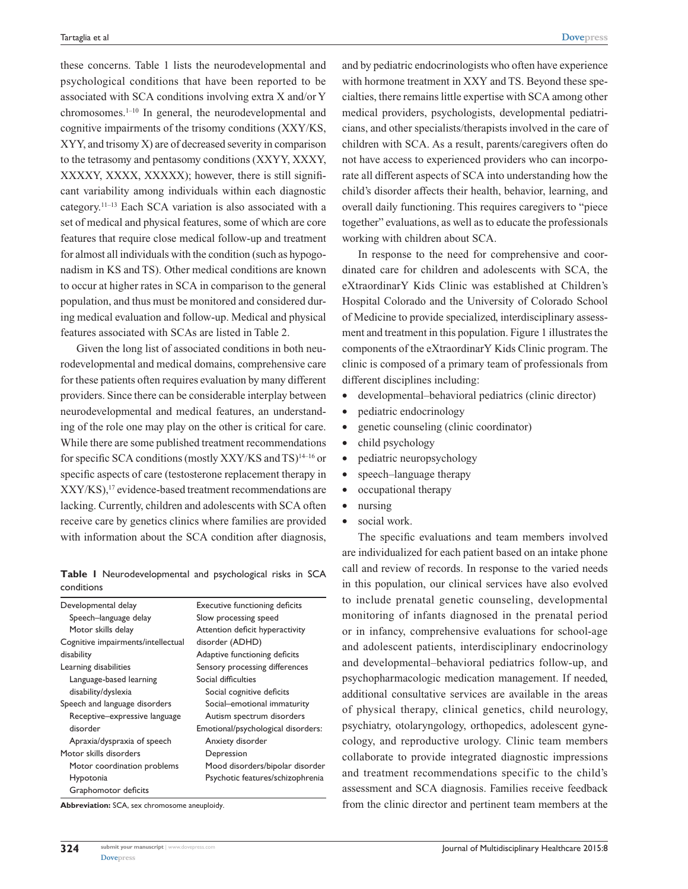these concerns. Table 1 lists the neurodevelopmental and psychological conditions that have been reported to be associated with SCA conditions involving extra X and/or Y chromosomes.1–10 In general, the neurodevelopmental and cognitive impairments of the trisomy conditions (XXY/KS, XYY, and trisomy X) are of decreased severity in comparison to the tetrasomy and pentasomy conditions (XXYY, XXXY, XXXXY, XXXX, XXXXX); however, there is still significant variability among individuals within each diagnostic category.11–13 Each SCA variation is also associated with a set of medical and physical features, some of which are core features that require close medical follow-up and treatment for almost all individuals with the condition (such as hypogonadism in KS and TS). Other medical conditions are known to occur at higher rates in SCA in comparison to the general population, and thus must be monitored and considered during medical evaluation and follow-up. Medical and physical features associated with SCAs are listed in Table 2.

Given the long list of associated conditions in both neurodevelopmental and medical domains, comprehensive care for these patients often requires evaluation by many different providers. Since there can be considerable interplay between neurodevelopmental and medical features, an understanding of the role one may play on the other is critical for care. While there are some published treatment recommendations for specific SCA conditions (mostly XXY/KS and  $TS$ )<sup>14–16</sup> or specific aspects of care (testosterone replacement therapy in XXY/KS),17 evidence-based treatment recommendations are lacking. Currently, children and adolescents with SCA often receive care by genetics clinics where families are provided with information about the SCA condition after diagnosis,

**Table 1** Neurodevelopmental and psychological risks in SCA conditions

| Developmental delay                | <b>Executive functioning deficits</b> |  |  |
|------------------------------------|---------------------------------------|--|--|
| Speech-language delay              | Slow processing speed                 |  |  |
| Motor skills delay                 | Attention deficit hyperactivity       |  |  |
| Cognitive impairments/intellectual | disorder (ADHD)                       |  |  |
| disability                         | Adaptive functioning deficits         |  |  |
| Learning disabilities              | Sensory processing differences        |  |  |
| Language-based learning            | Social difficulties                   |  |  |
| disability/dyslexia                | Social cognitive deficits             |  |  |
| Speech and language disorders      | Social-emotional immaturity           |  |  |
| Receptive-expressive language      | Autism spectrum disorders             |  |  |
| disorder                           | Emotional/psychological disorders:    |  |  |
| Apraxia/dyspraxia of speech        | Anxiety disorder                      |  |  |
| Motor skills disorders             | Depression                            |  |  |
| Motor coordination problems        | Mood disorders/bipolar disorder       |  |  |
| Hypotonia                          | Psychotic features/schizophrenia      |  |  |
| Graphomotor deficits               |                                       |  |  |
|                                    |                                       |  |  |

**Abbreviation:** SCA, sex chromosome aneuploidy.

and by pediatric endocrinologists who often have experience with hormone treatment in XXY and TS. Beyond these specialties, there remains little expertise with SCA among other medical providers, psychologists, developmental pediatricians, and other specialists/therapists involved in the care of children with SCA. As a result, parents/caregivers often do not have access to experienced providers who can incorporate all different aspects of SCA into understanding how the child's disorder affects their health, behavior, learning, and overall daily functioning. This requires caregivers to "piece together" evaluations, as well as to educate the professionals working with children about SCA.

In response to the need for comprehensive and coordinated care for children and adolescents with SCA, the eXtraordinarY Kids Clinic was established at Children's Hospital Colorado and the University of Colorado School of Medicine to provide specialized, interdisciplinary assessment and treatment in this population. Figure 1 illustrates the components of the eXtraordinarY Kids Clinic program. The clinic is composed of a primary team of professionals from different disciplines including:

- developmental–behavioral pediatrics (clinic director)
- pediatric endocrinology
- genetic counseling (clinic coordinator)
- child psychology
- pediatric neuropsychology
- speech–language therapy
- occupational therapy
- nursing
- social work.

The specific evaluations and team members involved are individualized for each patient based on an intake phone call and review of records. In response to the varied needs in this population, our clinical services have also evolved to include prenatal genetic counseling, developmental monitoring of infants diagnosed in the prenatal period or in infancy, comprehensive evaluations for school-age and adolescent patients, interdisciplinary endocrinology and developmental–behavioral pediatrics follow-up, and psychopharmacologic medication management. If needed, additional consultative services are available in the areas of physical therapy, clinical genetics, child neurology, psychiatry, otolaryngology, orthopedics, adolescent gynecology, and reproductive urology. Clinic team members collaborate to provide integrated diagnostic impressions and treatment recommendations specific to the child's assessment and SCA diagnosis. Families receive feedback from the clinic director and pertinent team members at the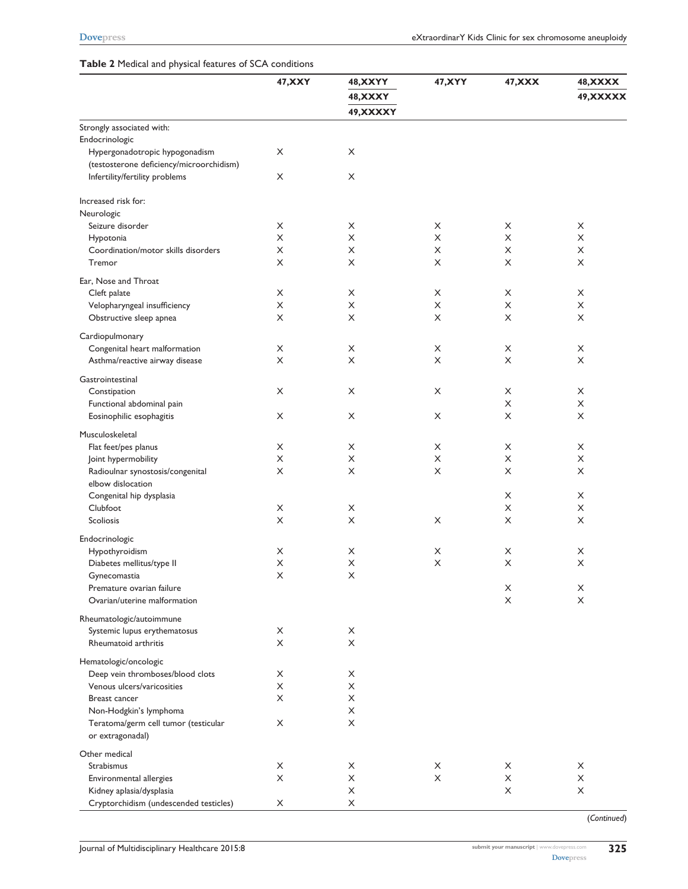#### **Table 2** Medical and physical features of SCA conditions

|                                                          | <b>47, XXY</b> | <b>48, XXYY</b><br><b>48, XXXY</b><br>49, XXXXY | 47, XYY     | 47, XXX               | <b>48, XXXX</b><br>49, XXXXX |
|----------------------------------------------------------|----------------|-------------------------------------------------|-------------|-----------------------|------------------------------|
| Strongly associated with:                                |                |                                                 |             |                       |                              |
| Endocrinologic                                           |                |                                                 |             |                       |                              |
| Hypergonadotropic hypogonadism                           | X              | X                                               |             |                       |                              |
| (testosterone deficiency/microorchidism)                 |                |                                                 |             |                       |                              |
| Infertility/fertility problems                           | X              | X                                               |             |                       |                              |
| Increased risk for:                                      |                |                                                 |             |                       |                              |
| Neurologic                                               |                |                                                 |             |                       |                              |
| Seizure disorder                                         | X              | X                                               | X           | X                     | X                            |
| Hypotonia                                                | X              | X                                               | X           | X                     | X                            |
| Coordination/motor skills disorders<br>Tremor            | X<br>X         | X<br>X                                          | X<br>X      | X<br>X                | X<br>X                       |
| Ear, Nose and Throat                                     |                |                                                 |             |                       |                              |
| Cleft palate                                             | X              | X                                               | X           | X                     | X                            |
| Velopharyngeal insufficiency                             | X              | X                                               | X           | X                     | X                            |
| Obstructive sleep apnea                                  | X              | X                                               | X           | X                     | X                            |
|                                                          |                |                                                 |             |                       |                              |
| Cardiopulmonary<br>Congenital heart malformation         | X              | X                                               | X           | X                     | X                            |
| Asthma/reactive airway disease                           | X              | X                                               | X           | X                     | X                            |
| Gastrointestinal                                         |                |                                                 |             |                       |                              |
| Constipation                                             | X              | X                                               | $\times$    | X                     | X                            |
| Functional abdominal pain                                |                |                                                 |             | X                     | X                            |
| Eosinophilic esophagitis                                 | X              | X                                               | X           | X                     | X                            |
| Musculoskeletal                                          |                |                                                 |             |                       |                              |
| Flat feet/pes planus                                     | X              | X                                               | X           | X                     | X                            |
| Joint hypermobility                                      | X              | X                                               | X           | X                     | X                            |
| Radioulnar synostosis/congenital                         | X              | X                                               | $\times$    | X                     | X                            |
| elbow dislocation                                        |                |                                                 |             |                       |                              |
| Congenital hip dysplasia                                 |                |                                                 |             | X                     | X                            |
| Clubfoot                                                 | X              | X                                               |             | X                     | X                            |
| Scoliosis                                                | X              | X                                               | X           | X                     | X                            |
| Endocrinologic                                           |                |                                                 |             |                       |                              |
| Hypothyroidism                                           | X              | X                                               | X           | X                     | X                            |
| Diabetes mellitus/type II                                | $\sf X$        | $\boldsymbol{\times}$                           | $\mathsf X$ | $\boldsymbol{\times}$ | $\boldsymbol{\times}$        |
| Gynecomastia                                             | X              | X                                               |             |                       |                              |
| Premature ovarian failure                                |                |                                                 |             | X                     | X                            |
| Ovarian/uterine malformation                             |                |                                                 |             | X                     | X                            |
| Rheumatologic/autoimmune                                 |                |                                                 |             |                       |                              |
| Systemic lupus erythematosus                             | X              | X                                               |             |                       |                              |
| Rheumatoid arthritis                                     | X              | X                                               |             |                       |                              |
| Hematologic/oncologic                                    |                |                                                 |             |                       |                              |
| Deep vein thromboses/blood clots                         | X              | X                                               |             |                       |                              |
| Venous ulcers/varicosities                               | X              | X                                               |             |                       |                              |
| Breast cancer                                            | X              | X                                               |             |                       |                              |
| Non-Hodgkin's lymphoma                                   |                | X                                               |             |                       |                              |
| Teratoma/germ cell tumor (testicular<br>or extragonadal) | X              | X                                               |             |                       |                              |
| Other medical                                            |                |                                                 |             |                       |                              |
| Strabismus                                               | X              | X                                               | X           | X                     | X                            |
| Environmental allergies                                  | X              | X                                               | X           | X                     | X                            |
| Kidney aplasia/dysplasia                                 |                | X                                               |             | X                     | X                            |
| Cryptorchidism (undescended testicles)                   | X              | X                                               |             |                       |                              |
|                                                          |                |                                                 |             |                       | (Continued)                  |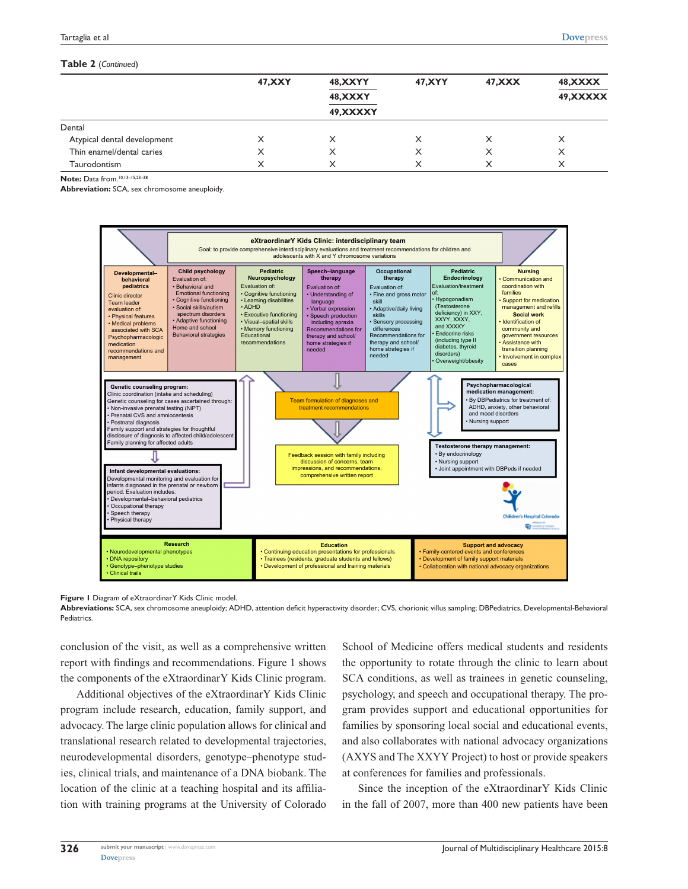#### **Table 2** (*Continued*)

|                             | <b>47, XXY</b> | <b>48, XXYY</b><br><b>48, XXXY</b> | 47, XYY | 47, XXX | 48, XXXX<br>49, XXXXX |
|-----------------------------|----------------|------------------------------------|---------|---------|-----------------------|
|                             |                | 49, XXXXY                          |         |         |                       |
| Dental                      |                |                                    |         |         |                       |
| Atypical dental development | X              |                                    | X       | X       | X                     |
| Thin enamel/dental caries   |                |                                    | X       | X       | X                     |
| Taurodontism                |                |                                    |         | X       | X                     |

**Note:** Data from.10,13–15,23–38

**Abbreviation:** SCA, sex chromosome aneuploidy.



**Figure 1** Diagram of eXtraordinarY Kids Clinic model.

**Abbreviations:** SCA, sex chromosome aneuploidy; ADHD, attention deficit hyperactivity disorder; CVS, chorionic villus sampling; DBPediatrics, Developmental-Behavioral **Pediatrics** 

conclusion of the visit, as well as a comprehensive written report with findings and recommendations. Figure 1 shows the components of the eXtraordinarY Kids Clinic program.

Additional objectives of the eXtraordinarY Kids Clinic program include research, education, family support, and advocacy. The large clinic population allows for clinical and translational research related to developmental trajectories, neurodevelopmental disorders, genotype–phenotype studies, clinical trials, and maintenance of a DNA biobank. The location of the clinic at a teaching hospital and its affiliation with training programs at the University of Colorado School of Medicine offers medical students and residents the opportunity to rotate through the clinic to learn about SCA conditions, as well as trainees in genetic counseling, psychology, and speech and occupational therapy. The program provides support and educational opportunities for families by sponsoring local social and educational events, and also collaborates with national advocacy organizations (AXYS and The XXYY Project) to host or provide speakers at conferences for families and professionals.

Since the inception of the eXtraordinarY Kids Clinic in the fall of 2007, more than 400 new patients have been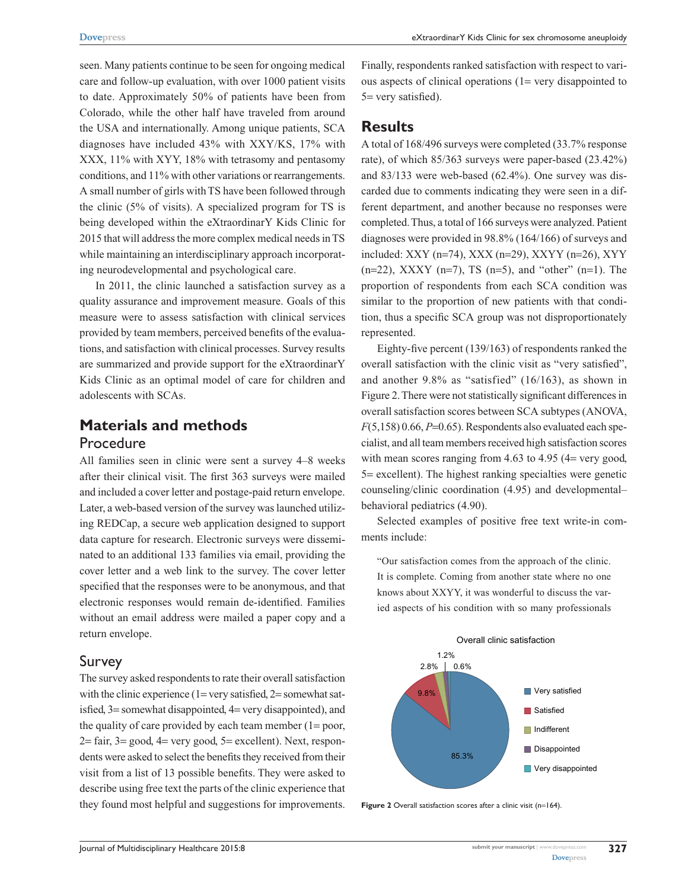seen. Many patients continue to be seen for ongoing medical care and follow-up evaluation, with over 1000 patient visits to date. Approximately 50% of patients have been from Colorado, while the other half have traveled from around the USA and internationally. Among unique patients, SCA diagnoses have included 43% with XXY/KS, 17% with XXX, 11% with XYY, 18% with tetrasomy and pentasomy conditions, and 11% with other variations or rearrangements. A small number of girls with TS have been followed through the clinic (5% of visits). A specialized program for TS is being developed within the eXtraordinarY Kids Clinic for 2015 that will address the more complex medical needs in TS while maintaining an interdisciplinary approach incorporating neurodevelopmental and psychological care.

In 2011, the clinic launched a satisfaction survey as a quality assurance and improvement measure. Goals of this measure were to assess satisfaction with clinical services provided by team members, perceived benefits of the evaluations, and satisfaction with clinical processes. Survey results are summarized and provide support for the eXtraordinarY Kids Clinic as an optimal model of care for children and adolescents with SCAs.

## **Materials and methods** Procedure

All families seen in clinic were sent a survey 4–8 weeks after their clinical visit. The first 363 surveys were mailed and included a cover letter and postage-paid return envelope. Later, a web-based version of the survey was launched utilizing REDCap, a secure web application designed to support data capture for research. Electronic surveys were disseminated to an additional 133 families via email, providing the cover letter and a web link to the survey. The cover letter specified that the responses were to be anonymous, and that electronic responses would remain de-identified. Families without an email address were mailed a paper copy and a return envelope.

#### Survey

The survey asked respondents to rate their overall satisfaction with the clinic experience  $(1 = \text{very satisfied}, 2 = \text{somewhat sat} - \text{...})$ isfied, 3= somewhat disappointed, 4= very disappointed), and the quality of care provided by each team member  $(1=poor,$  $2 = \text{fair}$ ,  $3 = \text{good}$ ,  $4 = \text{very good}$ ,  $5 = \text{excellent}$ ). Next, respondents were asked to select the benefits they received from their visit from a list of 13 possible benefits. They were asked to describe using free text the parts of the clinic experience that they found most helpful and suggestions for improvements. Finally, respondents ranked satisfaction with respect to various aspects of clinical operations (1= very disappointed to 5= very satisfied).

## **Results**

A total of 168/496 surveys were completed (33.7% response rate), of which 85/363 surveys were paper-based (23.42%) and 83/133 were web-based (62.4%). One survey was discarded due to comments indicating they were seen in a different department, and another because no responses were completed. Thus, a total of 166 surveys were analyzed. Patient diagnoses were provided in 98.8% (164/166) of surveys and included: XXY (n=74), XXX (n=29), XXYY (n=26), XYY  $(n=22)$ , XXXY  $(n=7)$ , TS  $(n=5)$ , and "other"  $(n=1)$ . The proportion of respondents from each SCA condition was similar to the proportion of new patients with that condition, thus a specific SCA group was not disproportionately represented.

Eighty-five percent (139/163) of respondents ranked the overall satisfaction with the clinic visit as "very satisfied", and another 9.8% as "satisfied" (16/163), as shown in Figure 2. There were not statistically significant differences in overall satisfaction scores between SCA subtypes (ANOVA,  $F(5,158)$  0.66,  $P=0.65$ ). Respondents also evaluated each specialist, and all team members received high satisfaction scores with mean scores ranging from  $4.63$  to  $4.95$  ( $4=$  very good, 5= excellent). The highest ranking specialties were genetic counseling/clinic coordination (4.95) and developmental– behavioral pediatrics (4.90).

Selected examples of positive free text write-in comments include:

"Our satisfaction comes from the approach of the clinic. It is complete. Coming from another state where no one knows about XXYY, it was wonderful to discuss the varied aspects of his condition with so many professionals



Figure 2 Overall satisfaction scores after a clinic visit (n=164).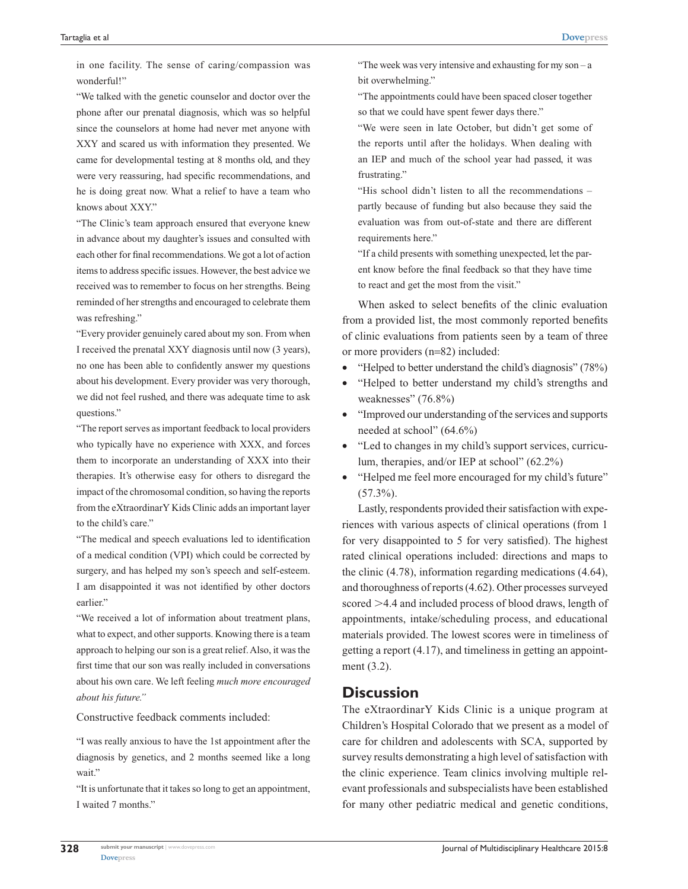in one facility. The sense of caring/compassion was wonderful!"

"We talked with the genetic counselor and doctor over the phone after our prenatal diagnosis, which was so helpful since the counselors at home had never met anyone with XXY and scared us with information they presented. We came for developmental testing at 8 months old, and they were very reassuring, had specific recommendations, and he is doing great now. What a relief to have a team who knows about XXY."

"The Clinic's team approach ensured that everyone knew in advance about my daughter's issues and consulted with each other for final recommendations. We got a lot of action items to address specific issues. However, the best advice we received was to remember to focus on her strengths. Being reminded of her strengths and encouraged to celebrate them was refreshing."

"Every provider genuinely cared about my son. From when I received the prenatal XXY diagnosis until now (3 years), no one has been able to confidently answer my questions about his development. Every provider was very thorough, we did not feel rushed, and there was adequate time to ask questions."

"The report serves as important feedback to local providers who typically have no experience with XXX, and forces them to incorporate an understanding of XXX into their therapies. It's otherwise easy for others to disregard the impact of the chromosomal condition, so having the reports from the eXtraordinarY Kids Clinic adds an important layer to the child's care."

"The medical and speech evaluations led to identification of a medical condition (VPI) which could be corrected by surgery, and has helped my son's speech and self-esteem. I am disappointed it was not identified by other doctors earlier."

"We received a lot of information about treatment plans, what to expect, and other supports. Knowing there is a team approach to helping our son is a great relief. Also, it was the first time that our son was really included in conversations about his own care. We left feeling *much more encouraged about his future."*

Constructive feedback comments included:

"I was really anxious to have the 1st appointment after the diagnosis by genetics, and 2 months seemed like a long wait."

"It is unfortunate that it takes so long to get an appointment, I waited 7 months."

"The week was very intensive and exhausting for my son  $-a$ bit overwhelming."

"The appointments could have been spaced closer together so that we could have spent fewer days there."

"We were seen in late October, but didn't get some of the reports until after the holidays. When dealing with an IEP and much of the school year had passed, it was frustrating."

"His school didn't listen to all the recommendations – partly because of funding but also because they said the evaluation was from out-of-state and there are different requirements here."

"If a child presents with something unexpected, let the parent know before the final feedback so that they have time to react and get the most from the visit."

When asked to select benefits of the clinic evaluation from a provided list, the most commonly reported benefits of clinic evaluations from patients seen by a team of three or more providers (n=82) included:

- "Helped to better understand the child's diagnosis"  $(78%)$
- • "Helped to better understand my child's strengths and weaknesses" (76.8%)
- • "Improved our understanding of the services and supports needed at school" (64.6%)
- • "Led to changes in my child's support services, curriculum, therapies, and/or IEP at school" (62.2%)
- "Helped me feel more encouraged for my child's future"  $(57.3\%)$ .

Lastly, respondents provided their satisfaction with experiences with various aspects of clinical operations (from 1 for very disappointed to 5 for very satisfied). The highest rated clinical operations included: directions and maps to the clinic (4.78), information regarding medications (4.64), and thoroughness of reports (4.62). Other processes surveyed scored >4.4 and included process of blood draws, length of appointments, intake/scheduling process, and educational materials provided. The lowest scores were in timeliness of getting a report (4.17), and timeliness in getting an appointment (3.2).

## **Discussion**

The eXtraordinarY Kids Clinic is a unique program at Children's Hospital Colorado that we present as a model of care for children and adolescents with SCA, supported by survey results demonstrating a high level of satisfaction with the clinic experience. Team clinics involving multiple relevant professionals and subspecialists have been established for many other pediatric medical and genetic conditions,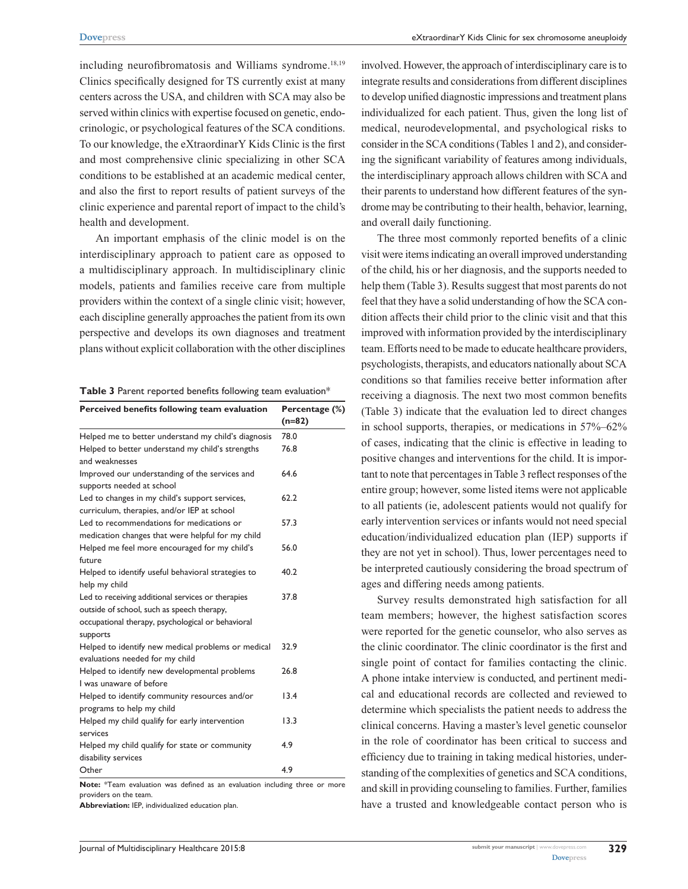including neurofibromatosis and Williams syndrome.<sup>18,19</sup> Clinics specifically designed for TS currently exist at many centers across the USA, and children with SCA may also be served within clinics with expertise focused on genetic, endocrinologic, or psychological features of the SCA conditions. To our knowledge, the eXtraordinarY Kids Clinic is the first and most comprehensive clinic specializing in other SCA conditions to be established at an academic medical center, and also the first to report results of patient surveys of the clinic experience and parental report of impact to the child's health and development.

An important emphasis of the clinic model is on the interdisciplinary approach to patient care as opposed to a multidisciplinary approach. In multidisciplinary clinic models, patients and families receive care from multiple providers within the context of a single clinic visit; however, each discipline generally approaches the patient from its own perspective and develops its own diagnoses and treatment plans without explicit collaboration with the other disciplines

**Table 3** Parent reported benefits following team evaluation\*

| Perceived benefits following team evaluation                                                                                                                     | Percentage (%)<br>$(n=82)$ |
|------------------------------------------------------------------------------------------------------------------------------------------------------------------|----------------------------|
| Helped me to better understand my child's diagnosis                                                                                                              | 78.0                       |
| Helped to better understand my child's strengths<br>and weaknesses                                                                                               | 76.8                       |
| Improved our understanding of the services and<br>supports needed at school                                                                                      | 64.6                       |
| Led to changes in my child's support services,<br>curriculum, therapies, and/or IEP at school                                                                    | 62.2                       |
| Led to recommendations for medications or<br>medication changes that were helpful for my child                                                                   | 57.3                       |
| Helped me feel more encouraged for my child's<br>future                                                                                                          | 56.0                       |
| Helped to identify useful behavioral strategies to<br>help my child                                                                                              | 40.2                       |
| Led to receiving additional services or therapies<br>outside of school, such as speech therapy,<br>occupational therapy, psychological or behavioral<br>supports | 37.8                       |
| Helped to identify new medical problems or medical<br>evaluations needed for my child                                                                            | 32.9                       |
| Helped to identify new developmental problems<br>I was unaware of before                                                                                         | 26.8                       |
| Helped to identify community resources and/or<br>programs to help my child                                                                                       | 13.4                       |
| Helped my child qualify for early intervention<br>services                                                                                                       | 13.3                       |
| Helped my child qualify for state or community<br>disability services                                                                                            | 4.9                        |
| Other                                                                                                                                                            | 4.9                        |

**Note:** \*Team evaluation was defined as an evaluation including three or more providers on the team.

**Abbreviation:** IEP, individualized education plan.

involved. However, the approach of interdisciplinary care is to integrate results and considerations from different disciplines to develop unified diagnostic impressions and treatment plans individualized for each patient. Thus, given the long list of medical, neurodevelopmental, and psychological risks to consider in the SCA conditions (Tables 1 and 2), and considering the significant variability of features among individuals, the interdisciplinary approach allows children with SCA and their parents to understand how different features of the syndrome may be contributing to their health, behavior, learning, and overall daily functioning.

The three most commonly reported benefits of a clinic visit were items indicating an overall improved understanding of the child, his or her diagnosis, and the supports needed to help them (Table 3). Results suggest that most parents do not feel that they have a solid understanding of how the SCA condition affects their child prior to the clinic visit and that this improved with information provided by the interdisciplinary team. Efforts need to be made to educate healthcare providers, psychologists, therapists, and educators nationally about SCA conditions so that families receive better information after receiving a diagnosis. The next two most common benefits (Table 3) indicate that the evaluation led to direct changes in school supports, therapies, or medications in 57%–62% of cases, indicating that the clinic is effective in leading to positive changes and interventions for the child. It is important to note that percentages in Table 3 reflect responses of the entire group; however, some listed items were not applicable to all patients (ie, adolescent patients would not qualify for early intervention services or infants would not need special education/individualized education plan (IEP) supports if they are not yet in school). Thus, lower percentages need to be interpreted cautiously considering the broad spectrum of ages and differing needs among patients.

Survey results demonstrated high satisfaction for all team members; however, the highest satisfaction scores were reported for the genetic counselor, who also serves as the clinic coordinator. The clinic coordinator is the first and single point of contact for families contacting the clinic. A phone intake interview is conducted, and pertinent medical and educational records are collected and reviewed to determine which specialists the patient needs to address the clinical concerns. Having a master's level genetic counselor in the role of coordinator has been critical to success and efficiency due to training in taking medical histories, understanding of the complexities of genetics and SCA conditions, and skill in providing counseling to families. Further, families have a trusted and knowledgeable contact person who is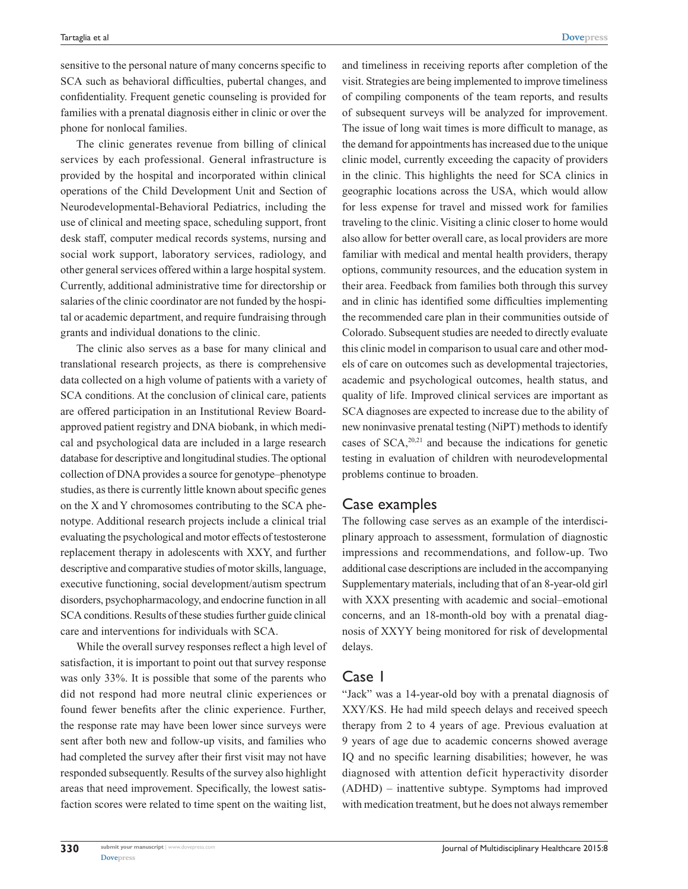**[Dovepress](www.dovepress.com)**

sensitive to the personal nature of many concerns specific to SCA such as behavioral difficulties, pubertal changes, and confidentiality. Frequent genetic counseling is provided for families with a prenatal diagnosis either in clinic or over the phone for nonlocal families.

The clinic generates revenue from billing of clinical services by each professional. General infrastructure is provided by the hospital and incorporated within clinical operations of the Child Development Unit and Section of Neurodevelopmental-Behavioral Pediatrics, including the use of clinical and meeting space, scheduling support, front desk staff, computer medical records systems, nursing and social work support, laboratory services, radiology, and other general services offered within a large hospital system. Currently, additional administrative time for directorship or salaries of the clinic coordinator are not funded by the hospital or academic department, and require fundraising through grants and individual donations to the clinic.

The clinic also serves as a base for many clinical and translational research projects, as there is comprehensive data collected on a high volume of patients with a variety of SCA conditions. At the conclusion of clinical care, patients are offered participation in an Institutional Review Boardapproved patient registry and DNA biobank, in which medical and psychological data are included in a large research database for descriptive and longitudinal studies. The optional collection of DNA provides a source for genotype–phenotype studies, as there is currently little known about specific genes on the X and Y chromosomes contributing to the SCA phenotype. Additional research projects include a clinical trial evaluating the psychological and motor effects of testosterone replacement therapy in adolescents with XXY, and further descriptive and comparative studies of motor skills, language, executive functioning, social development/autism spectrum disorders, psychopharmacology, and endocrine function in all SCA conditions. Results of these studies further guide clinical care and interventions for individuals with SCA.

While the overall survey responses reflect a high level of satisfaction, it is important to point out that survey response was only 33%. It is possible that some of the parents who did not respond had more neutral clinic experiences or found fewer benefits after the clinic experience. Further, the response rate may have been lower since surveys were sent after both new and follow-up visits, and families who had completed the survey after their first visit may not have responded subsequently. Results of the survey also highlight areas that need improvement. Specifically, the lowest satisfaction scores were related to time spent on the waiting list,

and timeliness in receiving reports after completion of the visit. Strategies are being implemented to improve timeliness of compiling components of the team reports, and results of subsequent surveys will be analyzed for improvement. The issue of long wait times is more difficult to manage, as the demand for appointments has increased due to the unique clinic model, currently exceeding the capacity of providers in the clinic. This highlights the need for SCA clinics in geographic locations across the USA, which would allow for less expense for travel and missed work for families traveling to the clinic. Visiting a clinic closer to home would also allow for better overall care, as local providers are more familiar with medical and mental health providers, therapy options, community resources, and the education system in their area. Feedback from families both through this survey and in clinic has identified some difficulties implementing the recommended care plan in their communities outside of Colorado. Subsequent studies are needed to directly evaluate this clinic model in comparison to usual care and other models of care on outcomes such as developmental trajectories, academic and psychological outcomes, health status, and quality of life. Improved clinical services are important as SCA diagnoses are expected to increase due to the ability of new noninvasive prenatal testing (NiPT) methods to identify cases of  $SCA$ <sup>20,21</sup> and because the indications for genetic testing in evaluation of children with neurodevelopmental problems continue to broaden.

## Case examples

The following case serves as an example of the interdisciplinary approach to assessment, formulation of diagnostic impressions and recommendations, and follow-up. Two additional case descriptions are included in the accompanying Supplementary materials, including that of an 8-year-old girl with XXX presenting with academic and social–emotional concerns, and an 18-month-old boy with a prenatal diagnosis of XXYY being monitored for risk of developmental delays.

### Case 1

"Jack" was a 14-year-old boy with a prenatal diagnosis of XXY/KS. He had mild speech delays and received speech therapy from 2 to 4 years of age. Previous evaluation at 9 years of age due to academic concerns showed average IQ and no specific learning disabilities; however, he was diagnosed with attention deficit hyperactivity disorder (ADHD) – inattentive subtype. Symptoms had improved with medication treatment, but he does not always remember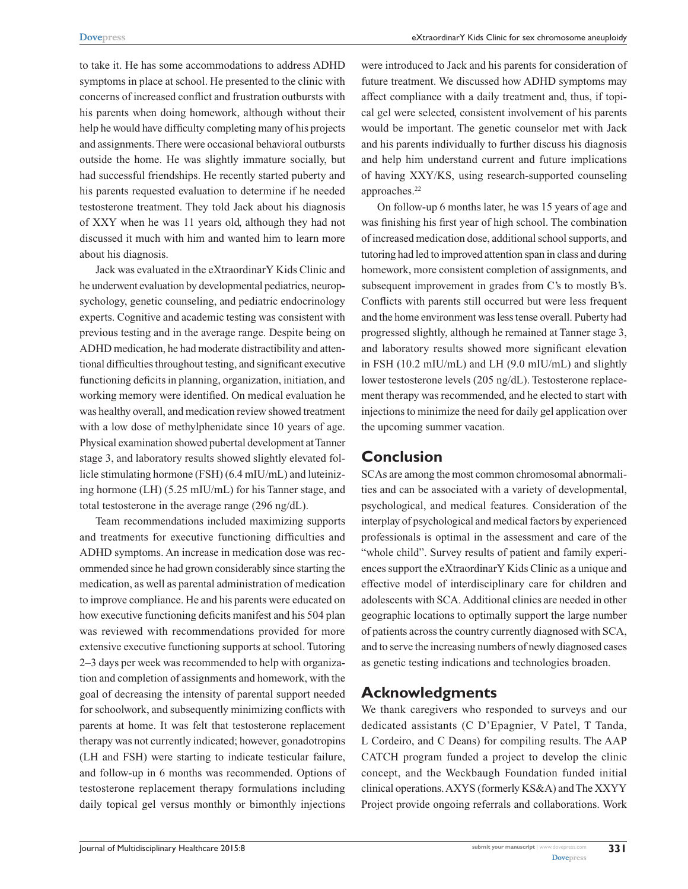to take it. He has some accommodations to address ADHD symptoms in place at school. He presented to the clinic with concerns of increased conflict and frustration outbursts with his parents when doing homework, although without their help he would have difficulty completing many of his projects and assignments. There were occasional behavioral outbursts outside the home. He was slightly immature socially, but had successful friendships. He recently started puberty and his parents requested evaluation to determine if he needed testosterone treatment. They told Jack about his diagnosis of XXY when he was 11 years old, although they had not discussed it much with him and wanted him to learn more about his diagnosis.

Jack was evaluated in the eXtraordinarY Kids Clinic and he underwent evaluation by developmental pediatrics, neuropsychology, genetic counseling, and pediatric endocrinology experts. Cognitive and academic testing was consistent with previous testing and in the average range. Despite being on ADHD medication, he had moderate distractibility and attentional difficulties throughout testing, and significant executive functioning deficits in planning, organization, initiation, and working memory were identified. On medical evaluation he was healthy overall, and medication review showed treatment with a low dose of methylphenidate since 10 years of age. Physical examination showed pubertal development at Tanner stage 3, and laboratory results showed slightly elevated follicle stimulating hormone (FSH) (6.4 mIU/mL) and luteinizing hormone (LH) (5.25 mIU/mL) for his Tanner stage, and total testosterone in the average range (296 ng/dL).

Team recommendations included maximizing supports and treatments for executive functioning difficulties and ADHD symptoms. An increase in medication dose was recommended since he had grown considerably since starting the medication, as well as parental administration of medication to improve compliance. He and his parents were educated on how executive functioning deficits manifest and his 504 plan was reviewed with recommendations provided for more extensive executive functioning supports at school. Tutoring 2–3 days per week was recommended to help with organization and completion of assignments and homework, with the goal of decreasing the intensity of parental support needed for schoolwork, and subsequently minimizing conflicts with parents at home. It was felt that testosterone replacement therapy was not currently indicated; however, gonadotropins (LH and FSH) were starting to indicate testicular failure, and follow-up in 6 months was recommended. Options of testosterone replacement therapy formulations including daily topical gel versus monthly or bimonthly injections

were introduced to Jack and his parents for consideration of future treatment. We discussed how ADHD symptoms may affect compliance with a daily treatment and, thus, if topical gel were selected, consistent involvement of his parents would be important. The genetic counselor met with Jack and his parents individually to further discuss his diagnosis and help him understand current and future implications of having XXY/KS, using research-supported counseling approaches.<sup>22</sup>

On follow-up 6 months later, he was 15 years of age and was finishing his first year of high school. The combination of increased medication dose, additional school supports, and tutoring had led to improved attention span in class and during homework, more consistent completion of assignments, and subsequent improvement in grades from C's to mostly B's. Conflicts with parents still occurred but were less frequent and the home environment was less tense overall. Puberty had progressed slightly, although he remained at Tanner stage 3, and laboratory results showed more significant elevation in FSH (10.2 mIU/mL) and LH (9.0 mIU/mL) and slightly lower testosterone levels (205 ng/dL). Testosterone replacement therapy was recommended, and he elected to start with injections to minimize the need for daily gel application over the upcoming summer vacation.

# **Conclusion**

SCAs are among the most common chromosomal abnormalities and can be associated with a variety of developmental, psychological, and medical features. Consideration of the interplay of psychological and medical factors by experienced professionals is optimal in the assessment and care of the "whole child". Survey results of patient and family experiences support the eXtraordinarY Kids Clinic as a unique and effective model of interdisciplinary care for children and adolescents with SCA. Additional clinics are needed in other geographic locations to optimally support the large number of patients across the country currently diagnosed with SCA, and to serve the increasing numbers of newly diagnosed cases as genetic testing indications and technologies broaden.

# **Acknowledgments**

We thank caregivers who responded to surveys and our dedicated assistants (C D'Epagnier, V Patel, T Tanda, L Cordeiro, and C Deans) for compiling results. The AAP CATCH program funded a project to develop the clinic concept, and the Weckbaugh Foundation funded initial clinical operations. AXYS (formerly KS&A) and The XXYY Project provide ongoing referrals and collaborations. Work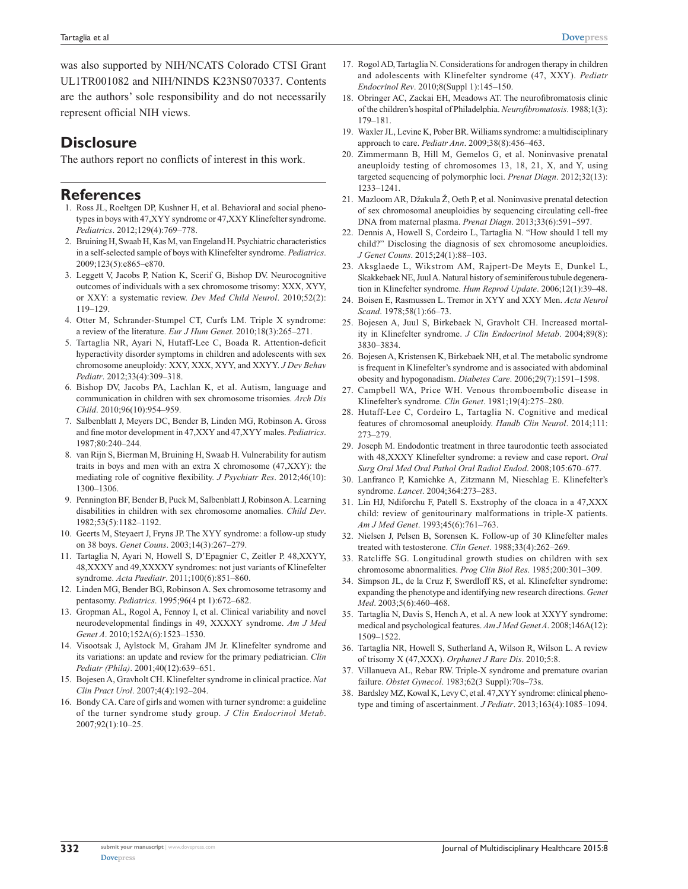was also supported by NIH/NCATS Colorado CTSI Grant UL1TR001082 and NIH/NINDS K23NS070337. Contents are the authors' sole responsibility and do not necessarily represent official NIH views.

# **Disclosure**

The authors report no conflicts of interest in this work.

### **References**

- 1. Ross JL, Roeltgen DP, Kushner H, et al. Behavioral and social phenotypes in boys with 47,XYY syndrome or 47,XXY Klinefelter syndrome. *Pediatrics*. 2012;129(4):769–778.
- 2. Bruining H, Swaab H, Kas M, van Engeland H. Psychiatric characteristics in a self-selected sample of boys with Klinefelter syndrome. *Pediatrics*. 2009;123(5):e865–e870.
- 3. Leggett V, Jacobs P, Nation K, Scerif G, Bishop DV. Neurocognitive outcomes of individuals with a sex chromosome trisomy: XXX, XYY, or XXY: a systematic review. *Dev Med Child Neurol*. 2010;52(2): 119–129.
- 4. Otter M, Schrander-Stumpel CT, Curfs LM. Triple X syndrome: a review of the literature. *Eur J Hum Genet*. 2010;18(3):265–271.
- 5. Tartaglia NR, Ayari N, Hutaff-Lee C, Boada R. Attention-deficit hyperactivity disorder symptoms in children and adolescents with sex chromosome aneuploidy: XXY, XXX, XYY, and XXYY. *J Dev Behav Pediatr*. 2012;33(4):309–318.
- 6. Bishop DV, Jacobs PA, Lachlan K, et al. Autism, language and communication in children with sex chromosome trisomies. *Arch Dis Child*. 2010;96(10):954–959.
- 7. Salbenblatt J, Meyers DC, Bender B, Linden MG, Robinson A. Gross and fine motor development in 47,XXY and 47,XYY males. *Pediatrics*. 1987;80:240–244.
- 8. van Rijn S, Bierman M, Bruining H, Swaab H. Vulnerability for autism traits in boys and men with an extra X chromosome (47,XXY): the mediating role of cognitive flexibility. *J Psychiatr Res*. 2012;46(10): 1300–1306.
- 9. Pennington BF, Bender B, Puck M, Salbenblatt J, Robinson A. Learning disabilities in children with sex chromosome anomalies. *Child Dev*. 1982;53(5):1182–1192.
- 10. Geerts M, Steyaert J, Fryns JP. The XYY syndrome: a follow-up study on 38 boys. *Genet Couns*. 2003;14(3):267–279.
- 11. Tartaglia N, Ayari N, Howell S, D'Epagnier C, Zeitler P. 48,XXYY, 48,XXXY and 49,XXXXY syndromes: not just variants of Klinefelter syndrome. *Acta Paediatr*. 2011;100(6):851–860.
- 12. Linden MG, Bender BG, Robinson A. Sex chromosome tetrasomy and pentasomy. *Pediatrics*. 1995;96(4 pt 1):672–682.
- 13. Gropman AL, Rogol A, Fennoy I, et al. Clinical variability and novel neurodevelopmental findings in 49, XXXXY syndrome. *Am J Med Genet A*. 2010;152A(6):1523–1530.
- 14. Visootsak J, Aylstock M, Graham JM Jr. Klinefelter syndrome and its variations: an update and review for the primary pediatrician. *Clin Pediatr (Phila)*. 2001;40(12):639–651.
- 15. Bojesen A, Gravholt CH. Klinefelter syndrome in clinical practice. *Nat Clin Pract Urol*. 2007;4(4):192–204.
- 16. Bondy CA. Care of girls and women with turner syndrome: a guideline of the turner syndrome study group. *J Clin Endocrinol Metab*. 2007;92(1):10–25.
- 17. Rogol AD, Tartaglia N. Considerations for androgen therapy in children and adolescents with Klinefelter syndrome (47, XXY). *Pediatr Endocrinol Rev*. 2010;8(Suppl 1):145–150.
- 18. Obringer AC, Zackai EH, Meadows AT. The neurofibromatosis clinic of the children's hospital of Philadelphia. *Neurofibromatosis*. 1988;1(3): 179–181.
- 19. Waxler JL, Levine K, Pober BR. Williams syndrome: a multidisciplinary approach to care. *Pediatr Ann*. 2009;38(8):456–463.
- 20. Zimmermann B, Hill M, Gemelos G, et al. Noninvasive prenatal aneuploidy testing of chromosomes 13, 18, 21, X, and Y, using targeted sequencing of polymorphic loci. *Prenat Diagn*. 2012;32(13): 1233–1241.
- 21. Mazloom AR, Džakula Ž, Oeth P, et al. Noninvasive prenatal detection of sex chromosomal aneuploidies by sequencing circulating cell-free DNA from maternal plasma. *Prenat Diagn*. 2013;33(6):591–597.
- 22. Dennis A, Howell S, Cordeiro L, Tartaglia N. "How should I tell my child?" Disclosing the diagnosis of sex chromosome aneuploidies. *J Genet Couns*. 2015;24(1):88–103.
- 23. Aksglaede L, Wikstrom AM, Rajpert-De Meyts E, Dunkel L, Skakkebaek NE, Juul A. Natural history of seminiferous tubule degeneration in Klinefelter syndrome. *Hum Reprod Update*. 2006;12(1):39–48.
- 24. Boisen E, Rasmussen L. Tremor in XYY and XXY Men. *Acta Neurol Scand*. 1978;58(1):66–73.
- 25. Bojesen A, Juul S, Birkebaek N, Gravholt CH. Increased mortality in Klinefelter syndrome. *J Clin Endocrinol Metab*. 2004;89(8): 3830–3834.
- 26. Bojesen A, Kristensen K, Birkebaek NH, et al. The metabolic syndrome is frequent in Klinefelter's syndrome and is associated with abdominal obesity and hypogonadism. *Diabetes Care*. 2006;29(7):1591–1598.
- 27. Campbell WA, Price WH. Venous thromboembolic disease in Klinefelter's syndrome. *Clin Genet*. 1981;19(4):275–280.
- 28. Hutaff-Lee C, Cordeiro L, Tartaglia N. Cognitive and medical features of chromosomal aneuploidy. *Handb Clin Neurol*. 2014;111: 273–279.
- 29. Joseph M. Endodontic treatment in three taurodontic teeth associated with 48,XXXY Klinefelter syndrome: a review and case report. *Oral Surg Oral Med Oral Pathol Oral Radiol Endod*. 2008;105:670–677.
- 30. Lanfranco P, Kamichke A, Zitzmann M, Nieschlag E. Klinefelter's syndrome. *Lancet*. 2004;364:273–283.
- 31. Lin HJ, Ndiforchu F, Patell S. Exstrophy of the cloaca in a 47,XXX child: review of genitourinary malformations in triple-X patients. *Am J Med Genet*. 1993;45(6):761–763.
- 32. Nielsen J, Pelsen B, Sorensen K. Follow-up of 30 Klinefelter males treated with testosterone. *Clin Genet*. 1988;33(4):262–269.
- 33. Ratcliffe SG. Longitudinal growth studies on children with sex chromosome abnormalities. *Prog Clin Biol Res*. 1985;200:301–309.
- 34. Simpson JL, de la Cruz F, Swerdloff RS, et al. Klinefelter syndrome: expanding the phenotype and identifying new research directions. *Genet Med*. 2003;5(6):460–468.
- 35. Tartaglia N, Davis S, Hench A, et al. A new look at XXYY syndrome: medical and psychological features. *Am J Med Genet A*. 2008;146A(12): 1509–1522.
- 36. Tartaglia NR, Howell S, Sutherland A, Wilson R, Wilson L. A review of trisomy X (47,XXX). *Orphanet J Rare Dis*. 2010;5:8.
- 37. Villanueva AL, Rebar RW. Triple-X syndrome and premature ovarian failure. *Obstet Gynecol*. 1983;62(3 Suppl):70s–73s.
- 38. Bardsley MZ, Kowal K, Levy C, et al. 47,XYY syndrome: clinical phenotype and timing of ascertainment. *J Pediatr*. 2013;163(4):1085–1094.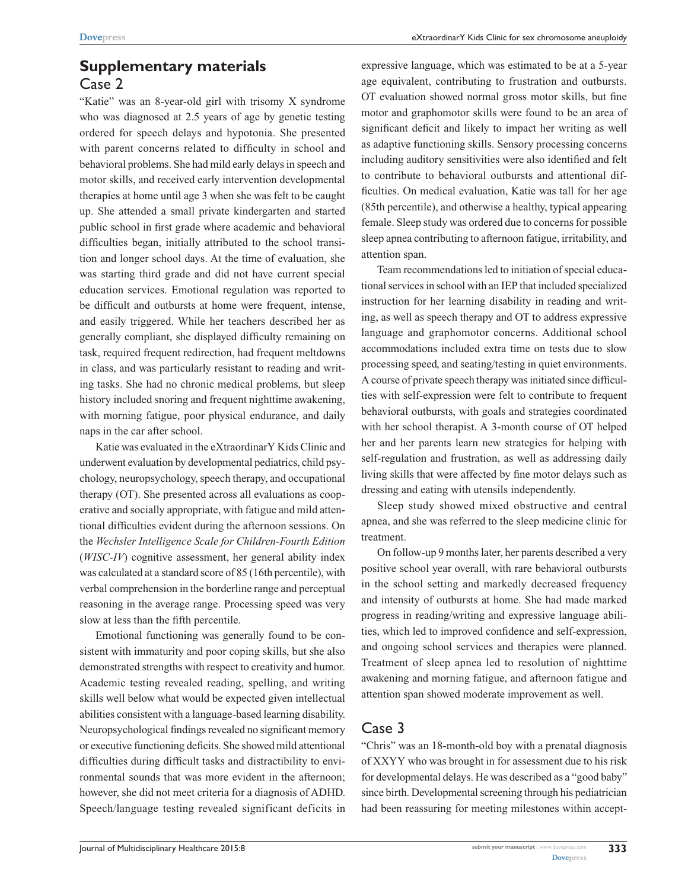# **Supplementary materials** Case 2

"Katie" was an 8-year-old girl with trisomy X syndrome who was diagnosed at 2.5 years of age by genetic testing ordered for speech delays and hypotonia. She presented with parent concerns related to difficulty in school and behavioral problems. She had mild early delays in speech and motor skills, and received early intervention developmental therapies at home until age 3 when she was felt to be caught up. She attended a small private kindergarten and started public school in first grade where academic and behavioral difficulties began, initially attributed to the school transition and longer school days. At the time of evaluation, she was starting third grade and did not have current special education services. Emotional regulation was reported to be difficult and outbursts at home were frequent, intense, and easily triggered. While her teachers described her as generally compliant, she displayed difficulty remaining on task, required frequent redirection, had frequent meltdowns in class, and was particularly resistant to reading and writing tasks. She had no chronic medical problems, but sleep history included snoring and frequent nighttime awakening, with morning fatigue, poor physical endurance, and daily naps in the car after school.

Katie was evaluated in the eXtraordinarY Kids Clinic and underwent evaluation by developmental pediatrics, child psychology, neuropsychology, speech therapy, and occupational therapy (OT). She presented across all evaluations as cooperative and socially appropriate, with fatigue and mild attentional difficulties evident during the afternoon sessions. On the *Wechsler Intelligence Scale for Children-Fourth Edition* (*WISC-IV*) cognitive assessment, her general ability index was calculated at a standard score of 85 (16th percentile), with verbal comprehension in the borderline range and perceptual reasoning in the average range. Processing speed was very slow at less than the fifth percentile.

Emotional functioning was generally found to be consistent with immaturity and poor coping skills, but she also demonstrated strengths with respect to creativity and humor. Academic testing revealed reading, spelling, and writing skills well below what would be expected given intellectual abilities consistent with a language-based learning disability. Neuropsychological findings revealed no significant memory or executive functioning deficits. She showed mild attentional difficulties during difficult tasks and distractibility to environmental sounds that was more evident in the afternoon; however, she did not meet criteria for a diagnosis of ADHD. Speech/language testing revealed significant deficits in expressive language, which was estimated to be at a 5-year age equivalent, contributing to frustration and outbursts. OT evaluation showed normal gross motor skills, but fine motor and graphomotor skills were found to be an area of significant deficit and likely to impact her writing as well as adaptive functioning skills. Sensory processing concerns including auditory sensitivities were also identified and felt to contribute to behavioral outbursts and attentional difficulties. On medical evaluation, Katie was tall for her age (85th percentile), and otherwise a healthy, typical appearing female. Sleep study was ordered due to concerns for possible sleep apnea contributing to afternoon fatigue, irritability, and attention span.

Team recommendations led to initiation of special educational services in school with an IEP that included specialized instruction for her learning disability in reading and writing, as well as speech therapy and OT to address expressive language and graphomotor concerns. Additional school accommodations included extra time on tests due to slow processing speed, and seating/testing in quiet environments. A course of private speech therapy was initiated since difficulties with self-expression were felt to contribute to frequent behavioral outbursts, with goals and strategies coordinated with her school therapist. A 3-month course of OT helped her and her parents learn new strategies for helping with self-regulation and frustration, as well as addressing daily living skills that were affected by fine motor delays such as dressing and eating with utensils independently.

Sleep study showed mixed obstructive and central apnea, and she was referred to the sleep medicine clinic for treatment.

On follow-up 9 months later, her parents described a very positive school year overall, with rare behavioral outbursts in the school setting and markedly decreased frequency and intensity of outbursts at home. She had made marked progress in reading/writing and expressive language abilities, which led to improved confidence and self-expression, and ongoing school services and therapies were planned. Treatment of sleep apnea led to resolution of nighttime awakening and morning fatigue, and afternoon fatigue and attention span showed moderate improvement as well.

### Case 3

"Chris" was an 18-month-old boy with a prenatal diagnosis of XXYY who was brought in for assessment due to his risk for developmental delays. He was described as a "good baby" since birth. Developmental screening through his pediatrician had been reassuring for meeting milestones within accept